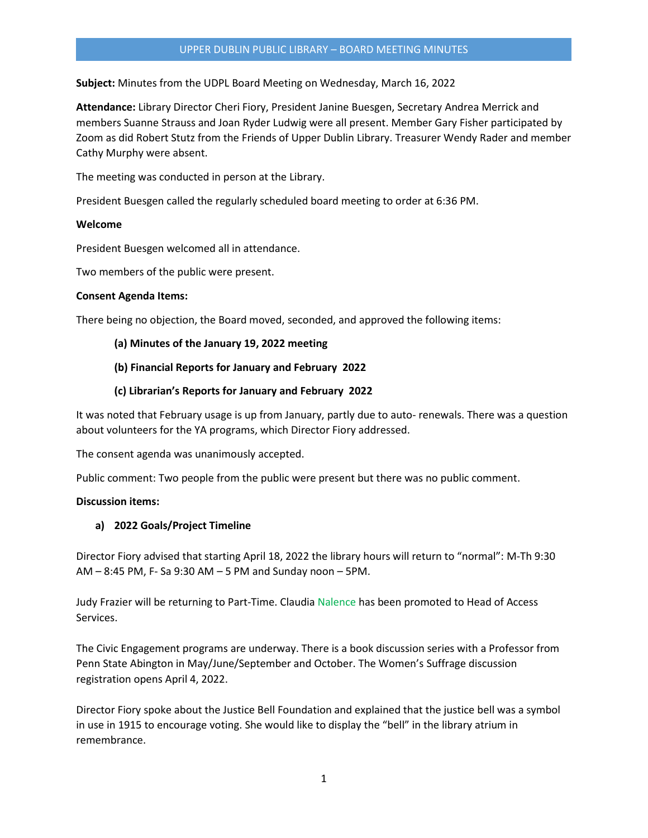### UPPER DUBLIN PUBLIC LIBRARY – BOARD MEETING MINUTES

**Subject:** Minutes from the UDPL Board Meeting on Wednesday, March 16, 2022

**Attendance:** Library Director Cheri Fiory, President Janine Buesgen, Secretary Andrea Merrick and members Suanne Strauss and Joan Ryder Ludwig were all present. Member Gary Fisher participated by Zoom as did Robert Stutz from the Friends of Upper Dublin Library. Treasurer Wendy Rader and member Cathy Murphy were absent.

The meeting was conducted in person at the Library.

President Buesgen called the regularly scheduled board meeting to order at 6:36 PM.

### **Welcome**

President Buesgen welcomed all in attendance.

Two members of the public were present.

### **Consent Agenda Items:**

There being no objection, the Board moved, seconded, and approved the following items:

### **(a) Minutes of the January 19, 2022 meeting**

### **(b) Financial Reports for January and February 2022**

### **(c) Librarian's Reports for January and February 2022**

It was noted that February usage is up from January, partly due to auto- renewals. There was a question about volunteers for the YA programs, which Director Fiory addressed.

The consent agenda was unanimously accepted.

Public comment: Two people from the public were present but there was no public comment.

## **Discussion items:**

## **a) 2022 Goals/Project Timeline**

Director Fiory advised that starting April 18, 2022 the library hours will return to "normal": M-Th 9:30 AM – 8:45 PM, F- Sa 9:30 AM – 5 PM and Sunday noon – 5PM.

Judy Frazier will be returning to Part-Time. Claudia Nalence has been promoted to Head of Access Services.

The Civic Engagement programs are underway. There is a book discussion series with a Professor from Penn State Abington in May/June/September and October. The Women's Suffrage discussion registration opens April 4, 2022.

Director Fiory spoke about the Justice Bell Foundation and explained that the justice bell was a symbol in use in 1915 to encourage voting. She would like to display the "bell" in the library atrium in remembrance.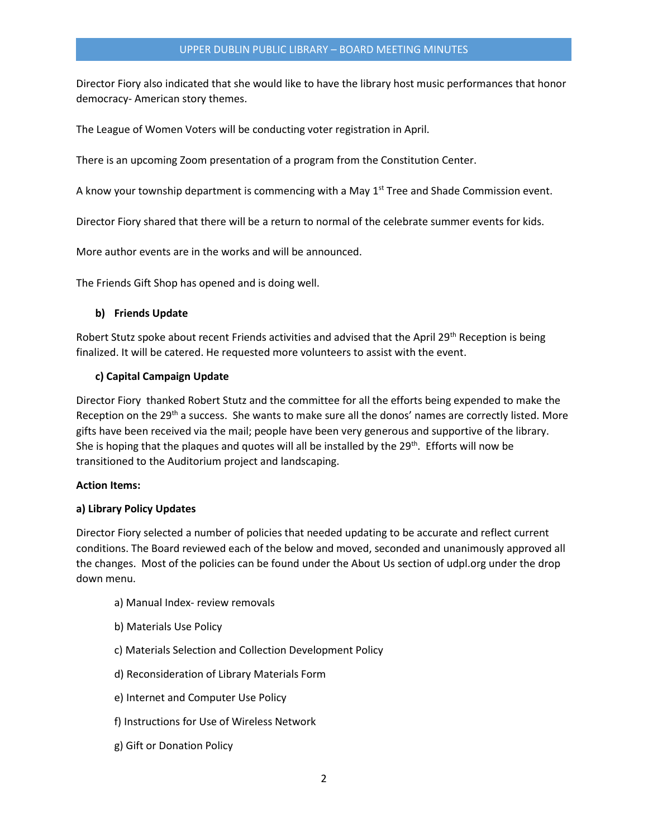Director Fiory also indicated that she would like to have the library host music performances that honor democracy- American story themes.

The League of Women Voters will be conducting voter registration in April.

There is an upcoming Zoom presentation of a program from the Constitution Center.

A know your township department is commencing with a May 1<sup>st</sup> Tree and Shade Commission event.

Director Fiory shared that there will be a return to normal of the celebrate summer events for kids.

More author events are in the works and will be announced.

The Friends Gift Shop has opened and is doing well.

## **b) Friends Update**

Robert Stutz spoke about recent Friends activities and advised that the April 29<sup>th</sup> Reception is being finalized. It will be catered. He requested more volunteers to assist with the event.

# **c) Capital Campaign Update**

Director Fiory thanked Robert Stutz and the committee for all the efforts being expended to make the Reception on the 29<sup>th</sup> a success. She wants to make sure all the donos' names are correctly listed. More gifts have been received via the mail; people have been very generous and supportive of the library. She is hoping that the plaques and quotes will all be installed by the  $29^{th}$ . Efforts will now be transitioned to the Auditorium project and landscaping.

## **Action Items:**

## **a) Library Policy Updates**

Director Fiory selected a number of policies that needed updating to be accurate and reflect current conditions. The Board reviewed each of the below and moved, seconded and unanimously approved all the changes. Most of the policies can be found under the About Us section of udpl.org under the drop down menu.

- a) Manual Index- review removals
- b) Materials Use Policy
- c) Materials Selection and Collection Development Policy
- d) Reconsideration of Library Materials Form
- e) Internet and Computer Use Policy
- f) Instructions for Use of Wireless Network
- g) Gift or Donation Policy